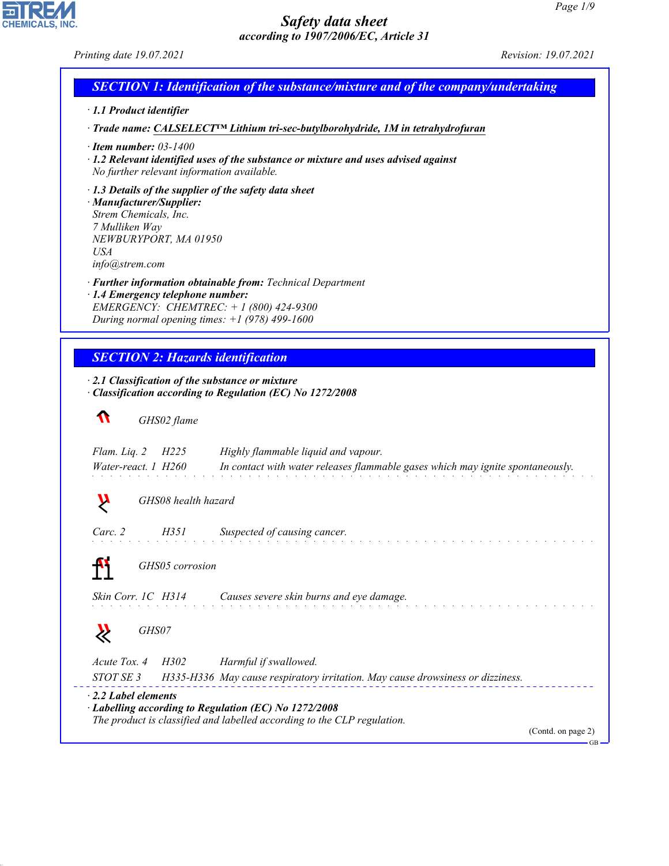*Printing date 19.07.2021 Revision: 19.07.2021*

**EDIREAL** 

44.1.1

| $\cdot$ 1.1 Product identifier                                                                                                                                                               |                                                                                                                                        |
|----------------------------------------------------------------------------------------------------------------------------------------------------------------------------------------------|----------------------------------------------------------------------------------------------------------------------------------------|
|                                                                                                                                                                                              | · Trade name: CALSELECT <sup>™</sup> Lithium tri-sec-butylborohydride, 1M in tetrahydrofuran                                           |
| $\cdot$ Item number: 03-1400<br>No further relevant information available.                                                                                                                   | $\cdot$ 1.2 Relevant identified uses of the substance or mixture and uses advised against                                              |
| $\cdot$ 1.3 Details of the supplier of the safety data sheet<br>· Manufacturer/Supplier:<br>Strem Chemicals, Inc.<br>7 Mulliken Way<br>NEWBURYPORT, MA 01950<br><b>USA</b><br>info@strem.com |                                                                                                                                        |
| · 1.4 Emergency telephone number:<br>EMERGENCY: CHEMTREC: + 1 (800) 424-9300<br>During normal opening times: $+1$ (978) 499-1600                                                             | · Further information obtainable from: Technical Department                                                                            |
| <b>SECTION 2: Hazards identification</b>                                                                                                                                                     |                                                                                                                                        |
| $\cdot$ 2.1 Classification of the substance or mixture                                                                                                                                       |                                                                                                                                        |
|                                                                                                                                                                                              | Classification according to Regulation (EC) No 1272/2008                                                                               |
| $\mathbf \Omega$<br>GHS02 flame                                                                                                                                                              |                                                                                                                                        |
| Flam. Liq. 2<br>H <sub>225</sub>                                                                                                                                                             | Highly flammable liquid and vapour.                                                                                                    |
| Water-react. 1 H260                                                                                                                                                                          | In contact with water releases flammable gases which may ignite spontaneously.                                                         |
| Ņ<br>GHS08 health hazard                                                                                                                                                                     |                                                                                                                                        |
| Carc. 2<br>H351                                                                                                                                                                              | Suspected of causing cancer.                                                                                                           |
| GHS05 corrosion                                                                                                                                                                              |                                                                                                                                        |
| Skin Corr. 1C H314                                                                                                                                                                           | Causes severe skin burns and eye damage.                                                                                               |
| GHS07                                                                                                                                                                                        |                                                                                                                                        |
| Acute Tox. 4<br>H302<br>STOT SE 3                                                                                                                                                            | Harmful if swallowed.<br>H335-H336 May cause respiratory irritation. May cause drowsiness or dizziness.                                |
| $\cdot$ 2.2 Label elements                                                                                                                                                                   | $\cdot$ Labelling according to Regulation (EC) No 1272/2008<br>The product is classified and labelled according to the CLP regulation. |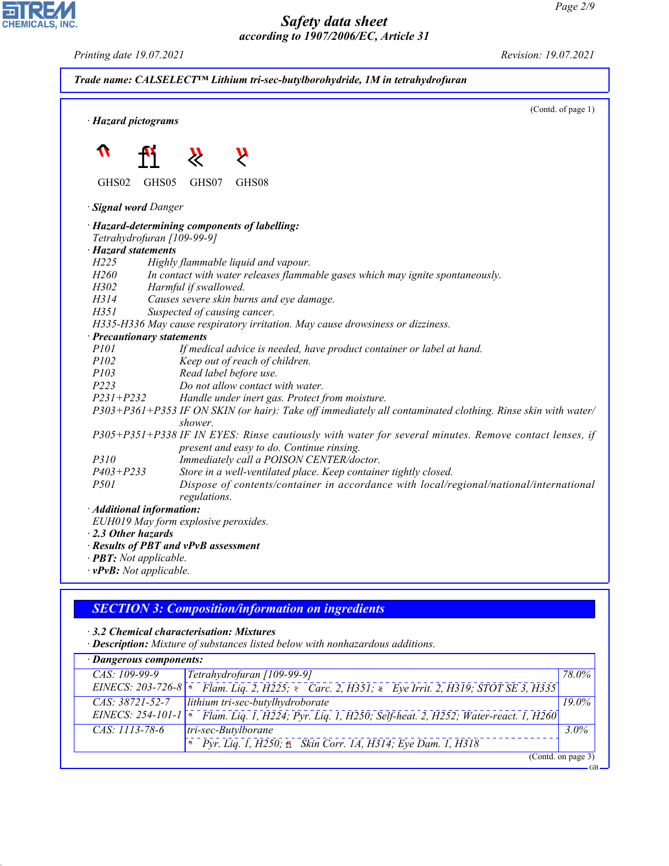GB

## *Safety data sheet according to 1907/2006/EC, Article 31*



# *SECTION 3: Composition/information on ingredients*

## *ꞏ 3.2 Chemical characterisation: Mixtures*

*ꞏ Description: Mixture of substances listed below with nonhazardous additions.*

| · Dangerous components: |                                                                                 |                    |
|-------------------------|---------------------------------------------------------------------------------|--------------------|
| $CAS: 109-99-9$         | Tetrahydrofuran [109-99-9]                                                      | 78.0%              |
| EINECS: 203-726-8       |                                                                                 |                    |
| $CAS: 38721 - 52 - 7$   | lithium tri-sec-butylhydroborate                                                | $19.0\%$           |
| EINECS: 254-101-1       | Flam. Liq. 1, H224; Pyr. Liq. 1, H250; Self-heat. 2, H252; Water-react. 1, H260 |                    |
| CAS: 1113-78-6          | tri-sec-Butylborane                                                             | $3.0\%$            |
|                         | Pyr. Liq. 1, H250; fi Skin Corr. 1A, H314; Eye Dam. 1, H318                     |                    |
|                         |                                                                                 | (Contd. on page 3) |



44.1.1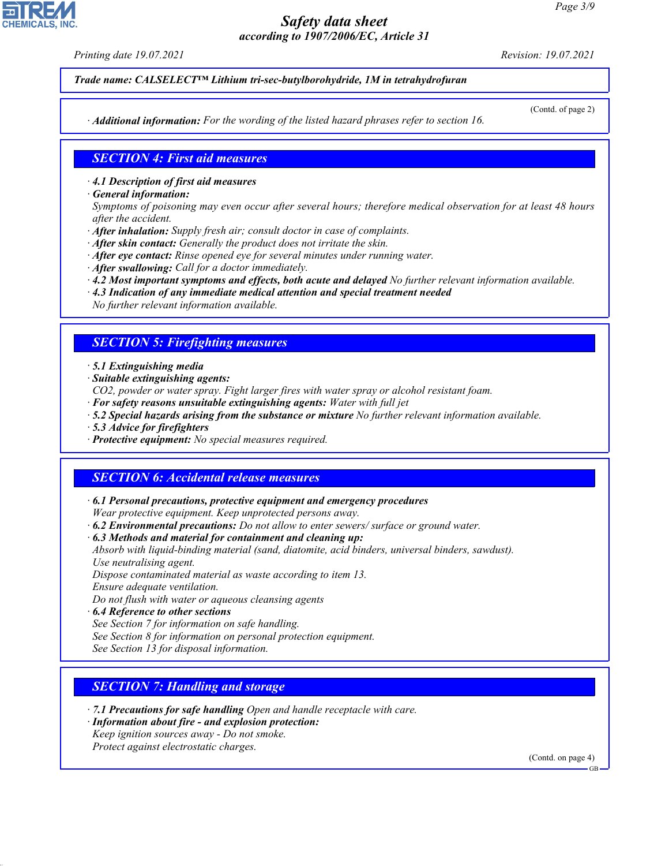*Printing date 19.07.2021 Revision: 19.07.2021*

*Trade name: CALSELECT™ Lithium tri-sec-butylborohydride, 1M in tetrahydrofuran*

*ꞏ Additional information: For the wording of the listed hazard phrases refer to section 16.*

#### (Contd. of page 2)

#### *SECTION 4: First aid measures*

*ꞏ 4.1 Description of first aid measures*

*ꞏ General information:*

*Symptoms of poisoning may even occur after several hours; therefore medical observation for at least 48 hours after the accident.*

- *ꞏ After inhalation: Supply fresh air; consult doctor in case of complaints.*
- *ꞏ After skin contact: Generally the product does not irritate the skin.*
- *ꞏ After eye contact: Rinse opened eye for several minutes under running water.*
- *ꞏ After swallowing: Call for a doctor immediately.*
- *ꞏ 4.2 Most important symptoms and effects, both acute and delayed No further relevant information available.*
- *ꞏ 4.3 Indication of any immediate medical attention and special treatment needed No further relevant information available.*

#### *SECTION 5: Firefighting measures*

*ꞏ 5.1 Extinguishing media*

*ꞏ Suitable extinguishing agents:*

- *CO2, powder or water spray. Fight larger fires with water spray or alcohol resistant foam.*
- *ꞏ For safety reasons unsuitable extinguishing agents: Water with full jet*
- *ꞏ 5.2 Special hazards arising from the substance or mixture No further relevant information available.*
- *ꞏ 5.3 Advice for firefighters*
- *ꞏ Protective equipment: No special measures required.*

#### *SECTION 6: Accidental release measures*

- *ꞏ 6.1 Personal precautions, protective equipment and emergency procedures Wear protective equipment. Keep unprotected persons away.*
- *ꞏ 6.2 Environmental precautions: Do not allow to enter sewers/ surface or ground water.*

*ꞏ 6.3 Methods and material for containment and cleaning up:*

*Absorb with liquid-binding material (sand, diatomite, acid binders, universal binders, sawdust). Use neutralising agent.*

*Dispose contaminated material as waste according to item 13. Ensure adequate ventilation.*

*Do not flush with water or aqueous cleansing agents*

*ꞏ 6.4 Reference to other sections*

*See Section 7 for information on safe handling.*

*See Section 8 for information on personal protection equipment.*

*See Section 13 for disposal information.*

## *SECTION 7: Handling and storage*

- *ꞏ 7.1 Precautions for safe handling Open and handle receptacle with care.*
- *ꞏ Information about fire and explosion protection: Keep ignition sources away - Do not smoke.*
- *Protect against electrostatic charges.*

44.1.1

(Contd. on page 4)



GB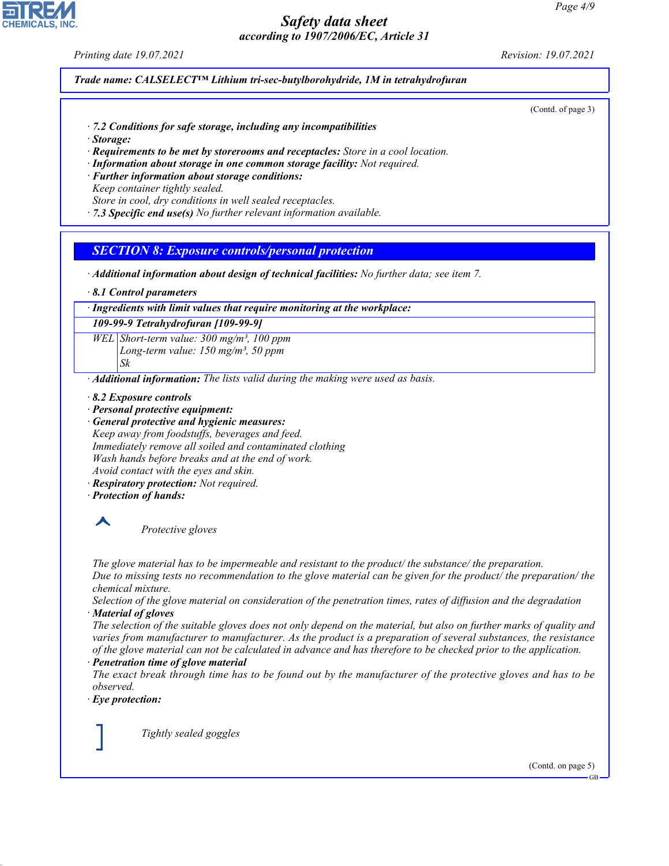*Printing date 19.07.2021 Revision: 19.07.2021*

#### *Trade name: CALSELECT™ Lithium tri-sec-butylborohydride, 1M in tetrahydrofuran*

(Contd. of page 3)

- *ꞏ 7.2 Conditions for safe storage, including any incompatibilities*
- *ꞏ Storage:*
- *ꞏ Requirements to be met by storerooms and receptacles: Store in a cool location.*
- *ꞏ Information about storage in one common storage facility: Not required.*
- *ꞏ Further information about storage conditions:*
- *Keep container tightly sealed.*
- *Store in cool, dry conditions in well sealed receptacles.*
- *ꞏ 7.3 Specific end use(s) No further relevant information available.*

#### *SECTION 8: Exposure controls/personal protection*

- *ꞏ Additional information about design of technical facilities: No further data; see item 7.*
- *ꞏ 8.1 Control parameters*

*ꞏ Ingredients with limit values that require monitoring at the workplace:*

#### *109-99-9 Tetrahydrofuran [109-99-9]*

*WEL Short-term value: 300 mg/m³, 100 ppm Long-term value: 150 mg/m³, 50 ppm Sk*

*ꞏ Additional information: The lists valid during the making were used as basis.*

- *ꞏ 8.2 Exposure controls*
- *ꞏ Personal protective equipment:*

*ꞏ General protective and hygienic measures: Keep away from foodstuffs, beverages and feed. Immediately remove all soiled and contaminated clothing Wash hands before breaks and at the end of work. Avoid contact with the eyes and skin.*

- *ꞏ Respiratory protection: Not required.*
- *ꞏ Protection of hands:*



\_S *Protective gloves*

*The glove material has to be impermeable and resistant to the product/ the substance/ the preparation.*

*Due to missing tests no recommendation to the glove material can be given for the product/ the preparation/ the chemical mixture.*

*Selection of the glove material on consideration of the penetration times, rates of diffusion and the degradation ꞏ Material of gloves*

*The selection of the suitable gloves does not only depend on the material, but also on further marks of quality and varies from manufacturer to manufacturer. As the product is a preparation of several substances, the resistance of the glove material can not be calculated in advance and has therefore to be checked prior to the application.*

#### *ꞏ Penetration time of glove material*

*The exact break through time has to be found out by the manufacturer of the protective gloves and has to be observed.*

*ꞏ Eye protection:*

44.1.1

\_R *Tightly sealed goggles*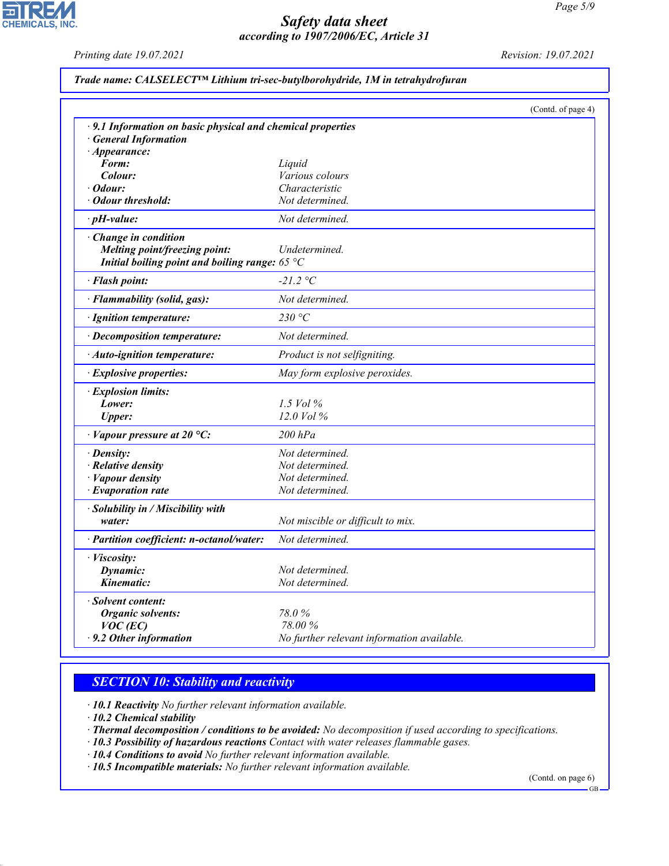## $\overline{\phantom{0}}$ **CHEMICALS, INC.**

# *Safety data sheet according to 1907/2006/EC, Article 31*

*Printing date 19.07.2021 Revision: 19.07.2021*

|  | Trade name: CALSELECT <sup>™</sup> Lithium tri-sec-butylborohydride, 1M in tetrahydrofuran |  |  |
|--|--------------------------------------------------------------------------------------------|--|--|
|  |                                                                                            |  |  |

|                                                             | (Contd. of page 4)                         |
|-------------------------------------------------------------|--------------------------------------------|
| · 9.1 Information on basic physical and chemical properties |                                            |
| · General Information                                       |                                            |
| $\cdot$ Appearance:                                         |                                            |
| Form:                                                       | Liquid                                     |
| Colour:                                                     | <i>Various colours</i>                     |
| Odour:                                                      | Characteristic                             |
| <b>Odour threshold:</b>                                     | Not determined.                            |
| $\cdot$ pH-value:                                           | Not determined.                            |
| Change in condition                                         |                                            |
| Melting point/freezing point:                               | Undetermined.                              |
| Initial boiling point and boiling range: 65 $^{\circ}$ C    |                                            |
| · Flash point:                                              | $-21.2 °C$                                 |
| · Flammability (solid, gas):                                | Not determined.                            |
| · Ignition temperature:                                     | 230 °C                                     |
| · Decomposition temperature:                                | Not determined.                            |
| · Auto-ignition temperature:                                | Product is not selfigniting.               |
| · Explosive properties:                                     | May form explosive peroxides.              |
| · Explosion limits:                                         |                                            |
| Lower:                                                      | 1.5 Vol $\%$                               |
| <b>Upper:</b>                                               | $12.0$ Vol $%$                             |
| $\cdot$ Vapour pressure at 20 °C:                           | $200$ $hPa$                                |
| · Density:                                                  | Not determined.                            |
| $\cdot$ Relative density                                    | Not determined.                            |
| · Vapour density                                            | Not determined.                            |
| $\cdot$ Evaporation rate                                    | Not determined.                            |
| Solubility in / Miscibility with                            |                                            |
| water:                                                      | Not miscible or difficult to mix.          |
| · Partition coefficient: n-octanol/water:                   | Not determined.                            |
| · Viscosity:                                                |                                            |
| Dynamic:                                                    | Not determined.                            |
| Kinematic:                                                  | Not determined.                            |
| Solvent content:                                            |                                            |
| <b>Organic solvents:</b>                                    | 78.0%                                      |
| $VOC$ (EC)                                                  | 78.00 %                                    |
| $\cdot$ 9.2 Other information                               | No further relevant information available. |

## *SECTION 10: Stability and reactivity*

*ꞏ 10.1 Reactivity No further relevant information available.*

*ꞏ 10.2 Chemical stability*

44.1.1

*ꞏ Thermal decomposition / conditions to be avoided: No decomposition if used according to specifications.*

*ꞏ 10.3 Possibility of hazardous reactions Contact with water releases flammable gases.*

*ꞏ 10.4 Conditions to avoid No further relevant information available.*

*ꞏ 10.5 Incompatible materials: No further relevant information available.*

(Contd. on page 6) GB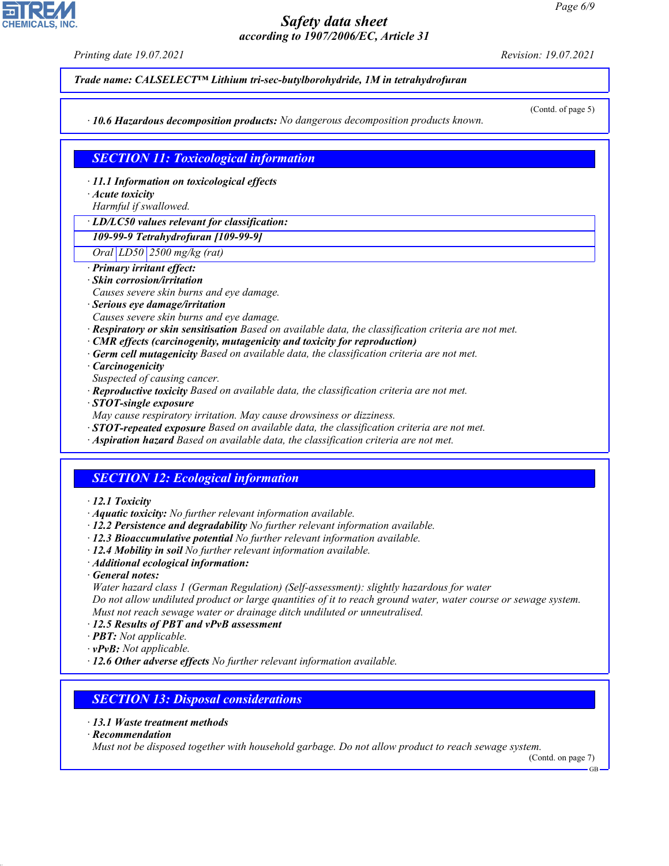*Printing date 19.07.2021 Revision: 19.07.2021*

*Trade name: CALSELECT™ Lithium tri-sec-butylborohydride, 1M in tetrahydrofuran*

*ꞏ 10.6 Hazardous decomposition products: No dangerous decomposition products known.*

(Contd. of page 5)

## *SECTION 11: Toxicological information*

*ꞏ 11.1 Information on toxicological effects*

*ꞏ Acute toxicity*

*Harmful if swallowed.*

*ꞏ LD/LC50 values relevant for classification:*

*109-99-9 Tetrahydrofuran [109-99-9]*

*Oral LD50 2500 mg/kg (rat)*

- *ꞏ Primary irritant effect:*
- *ꞏ Skin corrosion/irritation*
- *Causes severe skin burns and eye damage.*
- *ꞏ Serious eye damage/irritation*

*Causes severe skin burns and eye damage.*

- *ꞏ Respiratory or skin sensitisation Based on available data, the classification criteria are not met.*
- *ꞏ CMR effects (carcinogenity, mutagenicity and toxicity for reproduction)*
- *ꞏ Germ cell mutagenicity Based on available data, the classification criteria are not met.*

*ꞏ Carcinogenicity*

- *Suspected of causing cancer.*
- *ꞏ Reproductive toxicity Based on available data, the classification criteria are not met.*
- *ꞏ STOT-single exposure*
- *May cause respiratory irritation. May cause drowsiness or dizziness.*
- *ꞏ STOT-repeated exposure Based on available data, the classification criteria are not met.*
- *ꞏ Aspiration hazard Based on available data, the classification criteria are not met.*

# *SECTION 12: Ecological information*

- *ꞏ 12.1 Toxicity*
- *ꞏ Aquatic toxicity: No further relevant information available.*
- *ꞏ 12.2 Persistence and degradability No further relevant information available.*
- *ꞏ 12.3 Bioaccumulative potential No further relevant information available.*
- *ꞏ 12.4 Mobility in soil No further relevant information available.*
- *ꞏ Additional ecological information:*
- *ꞏ General notes:*
- *Water hazard class 1 (German Regulation) (Self-assessment): slightly hazardous for water*

*Do not allow undiluted product or large quantities of it to reach ground water, water course or sewage system. Must not reach sewage water or drainage ditch undiluted or unneutralised.*

*ꞏ 12.5 Results of PBT and vPvB assessment*

- *ꞏ PBT: Not applicable.*
- *ꞏ vPvB: Not applicable.*
- *ꞏ 12.6 Other adverse effects No further relevant information available.*

## *SECTION 13: Disposal considerations*

- *ꞏ 13.1 Waste treatment methods*
- *ꞏ Recommendation*

44.1.1

*Must not be disposed together with household garbage. Do not allow product to reach sewage system.*

(Contd. on page 7)

GB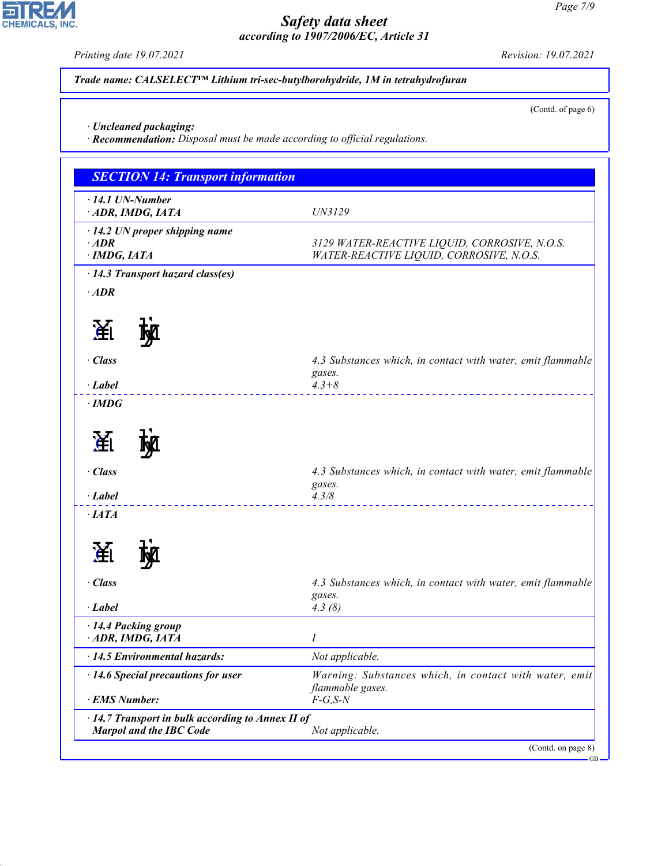*Printing date 19.07.2021 Revision: 19.07.2021*

ᄀ

**CHEMICALS, INC.** 

44.1.1

*Trade name: CALSELECT™ Lithium tri-sec-butylborohydride, 1M in tetrahydrofuran*

(Contd. of page 6)

*ꞏ Uncleaned packaging:*

*ꞏ Recommendation: Disposal must be made according to official regulations.*

| $\cdot$ 14.1 UN-Number<br>ADR, IMDG, IATA | UN3129                                                      |
|-------------------------------------------|-------------------------------------------------------------|
| · 14.2 UN proper shipping name            |                                                             |
| $·$ <i>ADR</i>                            | 3129 WATER-REACTIVE LIQUID, CORROSIVE, N.O.S.               |
| $\cdot$ IMDG, IATA                        | WATER-REACTIVE LIQUID, CORROSIVE, N.O.S.                    |
| $\cdot$ 14.3 Transport hazard class(es)   |                                                             |
| $\cdot$ ADR                               |                                                             |
| 渔                                         |                                                             |
| · Class                                   | 4.3 Substances which, in contact with water, emit flammable |
|                                           | gases.                                                      |
| $\cdot$ Label<br>$\cdot$ IMDG             | $4.3 + 8$                                                   |
|                                           |                                                             |
| 渔                                         |                                                             |
| · Class                                   | 4.3 Substances which, in contact with water, emit flammable |
| $\cdot$ Label                             | gases.<br>4.3/8                                             |
| $\cdot$ IATA                              |                                                             |
|                                           |                                                             |
| 圅                                         |                                                             |
| · Class                                   | 4.3 Substances which, in contact with water, emit flammable |
| $\cdot$ Label                             | gases.<br>4.3(8)                                            |
| · 14.4 Packing group                      |                                                             |
| ADR, IMDG, IATA                           | I                                                           |
| · 14.5 Environmental hazards:             | Not applicable.                                             |
| $\cdot$ 14.6 Special precautions for user | Warning: Substances which, in contact with water, emit      |
| · EMS Number:                             | flammable gases.<br>$F-G, S-N$                              |
|                                           | · 14.7 Transport in bulk according to Annex II of           |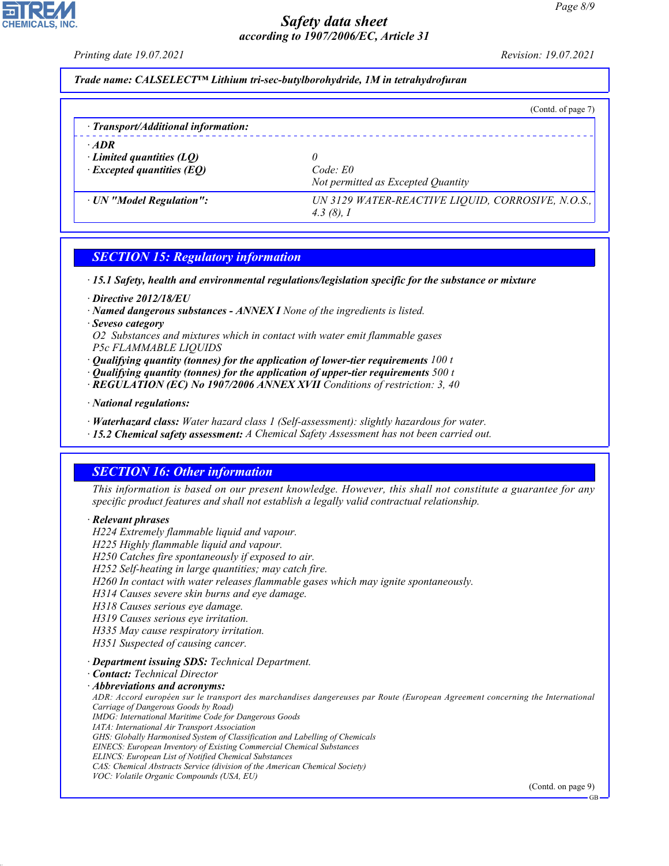*Printing date 19.07.2021 Revision: 19.07.2021*

*Trade name: CALSELECT™ Lithium tri-sec-butylborohydride, 1M in tetrahydrofuran*

|                                                                                    | (Contd. of page 7)                                                |
|------------------------------------------------------------------------------------|-------------------------------------------------------------------|
| $\cdot$ Transport/Additional information:                                          |                                                                   |
| $\cdot$ ADR<br>$\cdot$ Limited quantities (LQ)<br>$\cdot$ Excepted quantities (EQ) | Code: E0<br>Not permitted as Excepted Quantity                    |
| · UN "Model Regulation":                                                           | UN 3129 WATER-REACTIVE LIQUID, CORROSIVE, N.O.S.,<br>$4.3(8)$ , I |

## *SECTION 15: Regulatory information*

*ꞏ 15.1 Safety, health and environmental regulations/legislation specific for the substance or mixture*

- *ꞏ Directive 2012/18/EU*
- *ꞏ Named dangerous substances ANNEX I None of the ingredients is listed.*
- *ꞏ Seveso category*

*O2 Substances and mixtures which in contact with water emit flammable gases P5c FLAMMABLE LIQUIDS*

- *ꞏ Qualifying quantity (tonnes) for the application of lower-tier requirements 100 t*
- *ꞏ Qualifying quantity (tonnes) for the application of upper-tier requirements 500 t*
- *ꞏ REGULATION (EC) No 1907/2006 ANNEX XVII Conditions of restriction: 3, 40*
- *ꞏ National regulations:*
- *ꞏ Waterhazard class: Water hazard class 1 (Self-assessment): slightly hazardous for water.*
- *ꞏ 15.2 Chemical safety assessment: A Chemical Safety Assessment has not been carried out.*

## *SECTION 16: Other information*

*This information is based on our present knowledge. However, this shall not constitute a guarantee for any specific product features and shall not establish a legally valid contractual relationship.*

#### *ꞏ Relevant phrases*

*H224 Extremely flammable liquid and vapour.*

*H225 Highly flammable liquid and vapour.*

*H250 Catches fire spontaneously if exposed to air.*

*H252 Self-heating in large quantities; may catch fire.*

- *H260 In contact with water releases flammable gases which may ignite spontaneously.*
- *H314 Causes severe skin burns and eye damage.*
- *H318 Causes serious eye damage.*

*H319 Causes serious eye irritation.*

*H335 May cause respiratory irritation.*

*H351 Suspected of causing cancer.*

#### *ꞏ Department issuing SDS: Technical Department.*

*ꞏ Contact: Technical Director*

44.1.1

#### *ꞏ Abbreviations and acronyms:*

*ADR: Accord européen sur le transport des marchandises dangereuses par Route (European Agreement concerning the International Carriage of Dangerous Goods by Road) IMDG: International Maritime Code for Dangerous Goods IATA: International Air Transport Association GHS: Globally Harmonised System of Classification and Labelling of Chemicals EINECS: European Inventory of Existing Commercial Chemical Substances ELINCS: European List of Notified Chemical Substances CAS: Chemical Abstracts Service (division of the American Chemical Society)*

*VOC: Volatile Organic Compounds (USA, EU)*

(Contd. on page 9)

GB